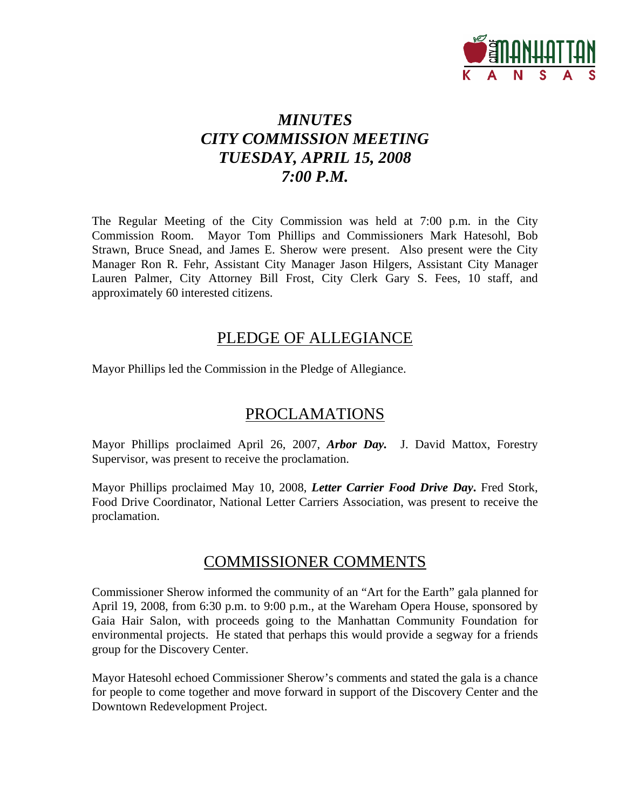

# *MINUTES CITY COMMISSION MEETING TUESDAY, APRIL 15, 2008 7:00 P.M.*

The Regular Meeting of the City Commission was held at 7:00 p.m. in the City Commission Room. Mayor Tom Phillips and Commissioners Mark Hatesohl, Bob Strawn, Bruce Snead, and James E. Sherow were present. Also present were the City Manager Ron R. Fehr, Assistant City Manager Jason Hilgers, Assistant City Manager Lauren Palmer, City Attorney Bill Frost, City Clerk Gary S. Fees, 10 staff, and approximately 60 interested citizens.

## PLEDGE OF ALLEGIANCE

Mayor Phillips led the Commission in the Pledge of Allegiance.

## PROCLAMATIONS

Mayor Phillips proclaimed April 26, 2007, *Arbor Day.* J. David Mattox, Forestry Supervisor, was present to receive the proclamation.

Mayor Phillips proclaimed May 10, 2008, *Letter Carrier Food Drive Day***.** Fred Stork, Food Drive Coordinator, National Letter Carriers Association, was present to receive the proclamation.

## COMMISSIONER COMMENTS

Commissioner Sherow informed the community of an "Art for the Earth" gala planned for April 19, 2008, from 6:30 p.m. to 9:00 p.m., at the Wareham Opera House, sponsored by Gaia Hair Salon, with proceeds going to the Manhattan Community Foundation for environmental projects. He stated that perhaps this would provide a segway for a friends group for the Discovery Center.

Mayor Hatesohl echoed Commissioner Sherow's comments and stated the gala is a chance for people to come together and move forward in support of the Discovery Center and the Downtown Redevelopment Project.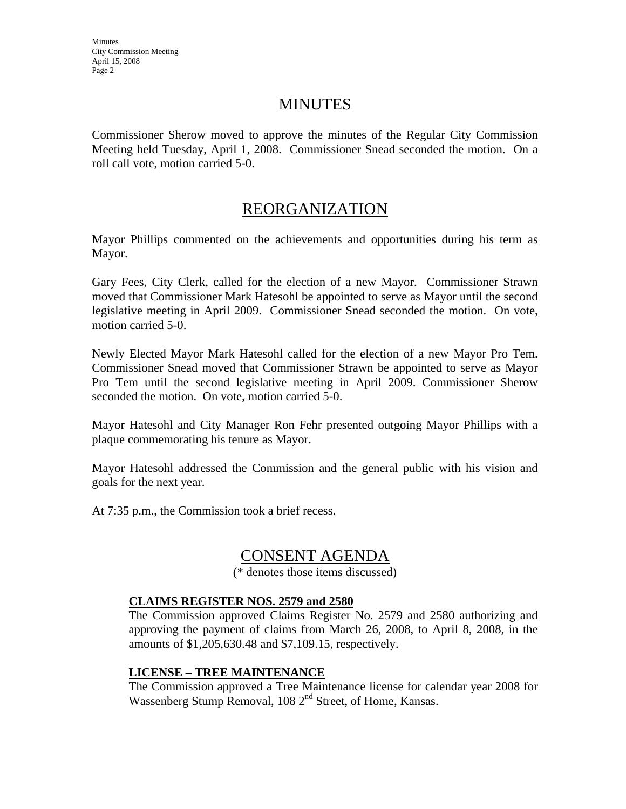## **MINUTES**

Commissioner Sherow moved to approve the minutes of the Regular City Commission Meeting held Tuesday, April 1, 2008. Commissioner Snead seconded the motion. On a roll call vote, motion carried 5-0.

# REORGANIZATION

Mayor Phillips commented on the achievements and opportunities during his term as Mayor.

Gary Fees, City Clerk, called for the election of a new Mayor. Commissioner Strawn moved that Commissioner Mark Hatesohl be appointed to serve as Mayor until the second legislative meeting in April 2009. Commissioner Snead seconded the motion. On vote, motion carried 5-0.

Newly Elected Mayor Mark Hatesohl called for the election of a new Mayor Pro Tem. Commissioner Snead moved that Commissioner Strawn be appointed to serve as Mayor Pro Tem until the second legislative meeting in April 2009. Commissioner Sherow seconded the motion. On vote, motion carried 5-0.

Mayor Hatesohl and City Manager Ron Fehr presented outgoing Mayor Phillips with a plaque commemorating his tenure as Mayor.

Mayor Hatesohl addressed the Commission and the general public with his vision and goals for the next year.

At 7:35 p.m., the Commission took a brief recess.

## CONSENT AGENDA

(\* denotes those items discussed)

### **CLAIMS REGISTER NOS. 2579 and 2580**

The Commission approved Claims Register No. 2579 and 2580 authorizing and approving the payment of claims from March 26, 2008, to April 8, 2008, in the amounts of \$1,205,630.48 and \$7,109.15, respectively.

### **LICENSE – TREE MAINTENANCE**

The Commission approved a Tree Maintenance license for calendar year 2008 for Wassenberg Stump Removal, 108 2<sup>nd</sup> Street, of Home, Kansas.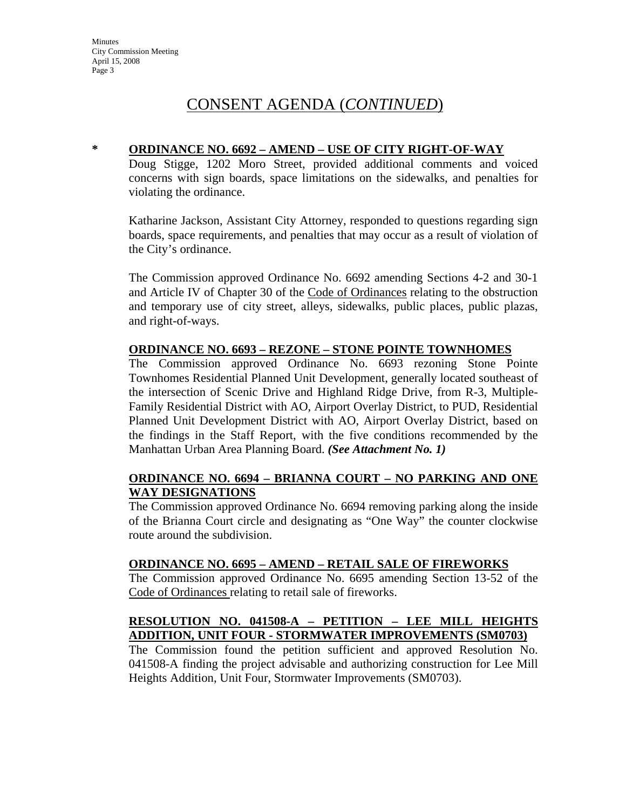## CONSENT AGENDA (*CONTINUED*)

#### **\* ORDINANCE NO. 6692 – AMEND – USE OF CITY RIGHT-OF-WAY**

Doug Stigge, 1202 Moro Street, provided additional comments and voiced concerns with sign boards, space limitations on the sidewalks, and penalties for violating the ordinance.

Katharine Jackson, Assistant City Attorney, responded to questions regarding sign boards, space requirements, and penalties that may occur as a result of violation of the City's ordinance.

The Commission approved Ordinance No. 6692 amending Sections 4-2 and 30-1 and Article IV of Chapter 30 of the Code of Ordinances relating to the obstruction and temporary use of city street, alleys, sidewalks, public places, public plazas, and right-of-ways.

#### **ORDINANCE NO. 6693 – REZONE – STONE POINTE TOWNHOMES**

The Commission approved Ordinance No. 6693 rezoning Stone Pointe Townhomes Residential Planned Unit Development, generally located southeast of the intersection of Scenic Drive and Highland Ridge Drive, from R-3, Multiple-Family Residential District with AO, Airport Overlay District, to PUD, Residential Planned Unit Development District with AO, Airport Overlay District, based on the findings in the Staff Report, with the five conditions recommended by the Manhattan Urban Area Planning Board. *(See Attachment No. 1)* 

### **ORDINANCE NO. 6694 – BRIANNA COURT – NO PARKING AND ONE WAY DESIGNATIONS**

The Commission approved Ordinance No. 6694 removing parking along the inside of the Brianna Court circle and designating as "One Way" the counter clockwise route around the subdivision.

#### **ORDINANCE NO. 6695 – AMEND – RETAIL SALE OF FIREWORKS**

The Commission approved Ordinance No. 6695 amending Section 13-52 of the Code of Ordinances relating to retail sale of fireworks.

### **RESOLUTION NO. 041508-A – PETITION – LEE MILL HEIGHTS ADDITION, UNIT FOUR - STORMWATER IMPROVEMENTS (SM0703)**

The Commission found the petition sufficient and approved Resolution No. 041508-A finding the project advisable and authorizing construction for Lee Mill Heights Addition, Unit Four, Stormwater Improvements (SM0703).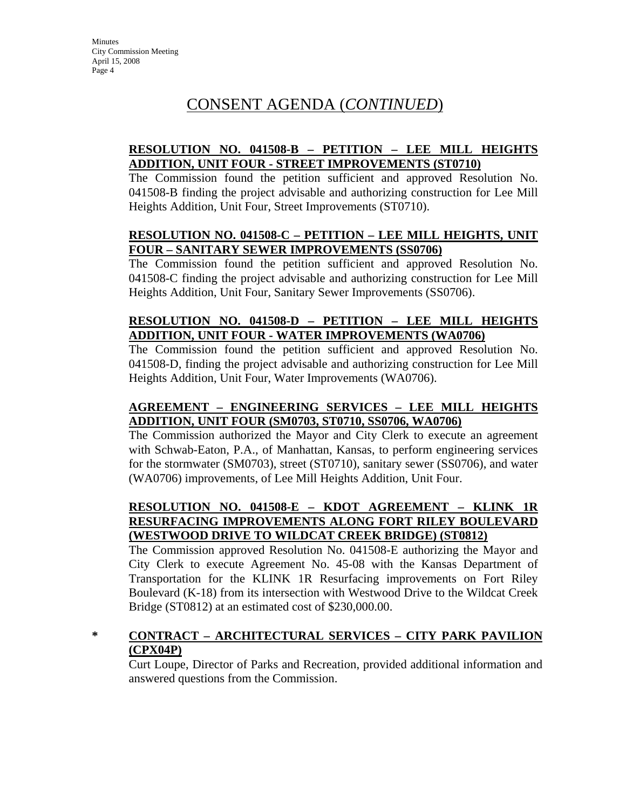# CONSENT AGENDA (*CONTINUED*)

## **RESOLUTION NO. 041508-B – PETITION – LEE MILL HEIGHTS ADDITION, UNIT FOUR - STREET IMPROVEMENTS (ST0710)**

The Commission found the petition sufficient and approved Resolution No. 041508-B finding the project advisable and authorizing construction for Lee Mill Heights Addition, Unit Four, Street Improvements (ST0710).

### **RESOLUTION NO. 041508-C – PETITION – LEE MILL HEIGHTS, UNIT FOUR – SANITARY SEWER IMPROVEMENTS (SS0706)**

The Commission found the petition sufficient and approved Resolution No. 041508-C finding the project advisable and authorizing construction for Lee Mill Heights Addition, Unit Four, Sanitary Sewer Improvements (SS0706).

## **RESOLUTION NO. 041508-D – PETITION – LEE MILL HEIGHTS ADDITION, UNIT FOUR - WATER IMPROVEMENTS (WA0706)**

The Commission found the petition sufficient and approved Resolution No. 041508-D, finding the project advisable and authorizing construction for Lee Mill Heights Addition, Unit Four, Water Improvements (WA0706).

## **AGREEMENT – ENGINEERING SERVICES – LEE MILL HEIGHTS ADDITION, UNIT FOUR (SM0703, ST0710, SS0706, WA0706)**

The Commission authorized the Mayor and City Clerk to execute an agreement with Schwab-Eaton, P.A., of Manhattan, Kansas, to perform engineering services for the stormwater (SM0703), street (ST0710), sanitary sewer (SS0706), and water (WA0706) improvements, of Lee Mill Heights Addition, Unit Four.

## **RESOLUTION NO. 041508-E – KDOT AGREEMENT – KLINK 1R RESURFACING IMPROVEMENTS ALONG FORT RILEY BOULEVARD (WESTWOOD DRIVE TO WILDCAT CREEK BRIDGE) (ST0812)**

The Commission approved Resolution No. 041508-E authorizing the Mayor and City Clerk to execute Agreement No. 45-08 with the Kansas Department of Transportation for the KLINK 1R Resurfacing improvements on Fort Riley Boulevard (K-18) from its intersection with Westwood Drive to the Wildcat Creek Bridge (ST0812) at an estimated cost of \$230,000.00.

## **\* CONTRACT – ARCHITECTURAL SERVICES – CITY PARK PAVILION (CPX04P)**

Curt Loupe, Director of Parks and Recreation, provided additional information and answered questions from the Commission.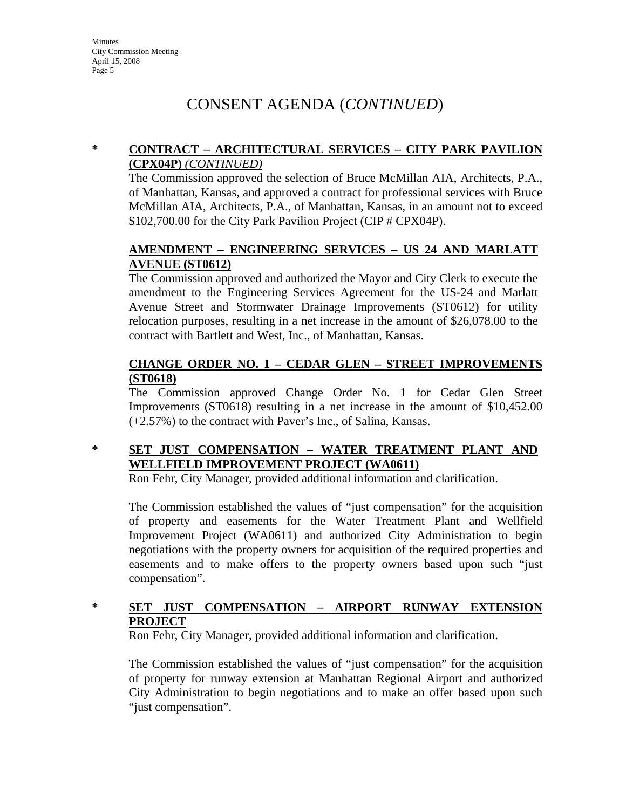# CONSENT AGENDA (*CONTINUED*)

## **\* CONTRACT – ARCHITECTURAL SERVICES – CITY PARK PAVILION (CPX04P)** *(CONTINUED)*

The Commission approved the selection of Bruce McMillan AIA, Architects, P.A., of Manhattan, Kansas, and approved a contract for professional services with Bruce McMillan AIA, Architects, P.A., of Manhattan, Kansas, in an amount not to exceed \$102,700.00 for the City Park Pavilion Project (CIP # CPX04P).

## **AMENDMENT – ENGINEERING SERVICES – US 24 AND MARLATT AVENUE (ST0612)**

The Commission approved and authorized the Mayor and City Clerk to execute the amendment to the Engineering Services Agreement for the US-24 and Marlatt Avenue Street and Stormwater Drainage Improvements (ST0612) for utility relocation purposes, resulting in a net increase in the amount of \$26,078.00 to the contract with Bartlett and West, Inc., of Manhattan, Kansas.

## **CHANGE ORDER NO. 1 – CEDAR GLEN – STREET IMPROVEMENTS (ST0618)**

The Commission approved Change Order No. 1 for Cedar Glen Street Improvements (ST0618) resulting in a net increase in the amount of \$10,452.00 (+2.57%) to the contract with Paver's Inc., of Salina, Kansas.

## **\* SET JUST COMPENSATION – WATER TREATMENT PLANT AND WELLFIELD IMPROVEMENT PROJECT (WA0611)**

Ron Fehr, City Manager, provided additional information and clarification.

The Commission established the values of "just compensation" for the acquisition of property and easements for the Water Treatment Plant and Wellfield Improvement Project (WA0611) and authorized City Administration to begin negotiations with the property owners for acquisition of the required properties and easements and to make offers to the property owners based upon such "just compensation".

## **\* SET JUST COMPENSATION – AIRPORT RUNWAY EXTENSION PROJECT**

Ron Fehr, City Manager, provided additional information and clarification.

The Commission established the values of "just compensation" for the acquisition of property for runway extension at Manhattan Regional Airport and authorized City Administration to begin negotiations and to make an offer based upon such "just compensation".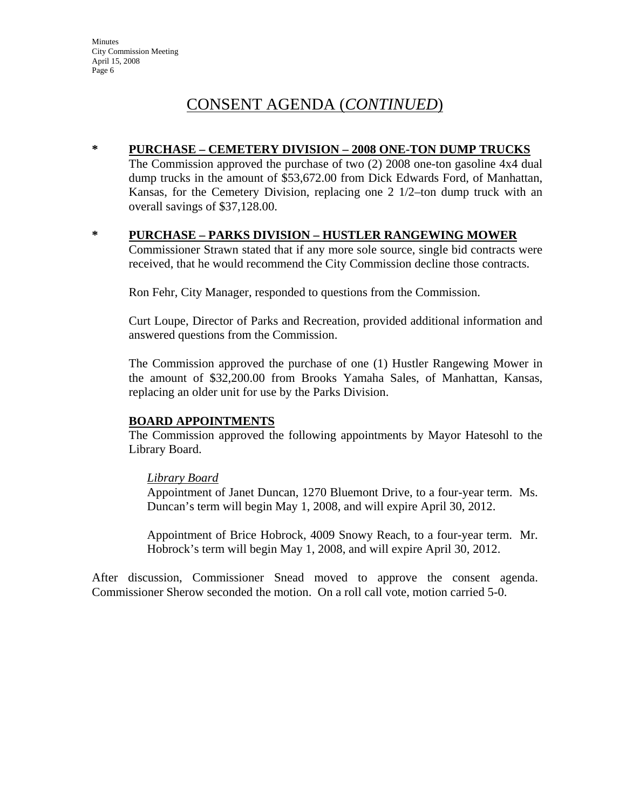## CONSENT AGENDA (*CONTINUED*)

#### **\* PURCHASE – CEMETERY DIVISION – 2008 ONE-TON DUMP TRUCKS**

The Commission approved the purchase of two (2) 2008 one-ton gasoline 4x4 dual dump trucks in the amount of \$53,672.00 from Dick Edwards Ford, of Manhattan, Kansas, for the Cemetery Division, replacing one 2 1/2–ton dump truck with an overall savings of \$37,128.00.

#### **\* PURCHASE – PARKS DIVISION – HUSTLER RANGEWING MOWER**

Commissioner Strawn stated that if any more sole source, single bid contracts were received, that he would recommend the City Commission decline those contracts.

Ron Fehr, City Manager, responded to questions from the Commission.

Curt Loupe, Director of Parks and Recreation, provided additional information and answered questions from the Commission.

The Commission approved the purchase of one (1) Hustler Rangewing Mower in the amount of \$32,200.00 from Brooks Yamaha Sales, of Manhattan, Kansas, replacing an older unit for use by the Parks Division.

#### **BOARD APPOINTMENTS**

The Commission approved the following appointments by Mayor Hatesohl to the Library Board.

#### *Library Board*

Appointment of Janet Duncan, 1270 Bluemont Drive, to a four-year term. Ms. Duncan's term will begin May 1, 2008, and will expire April 30, 2012.

Appointment of Brice Hobrock, 4009 Snowy Reach, to a four-year term. Mr. Hobrock's term will begin May 1, 2008, and will expire April 30, 2012.

After discussion, Commissioner Snead moved to approve the consent agenda. Commissioner Sherow seconded the motion. On a roll call vote, motion carried 5-0.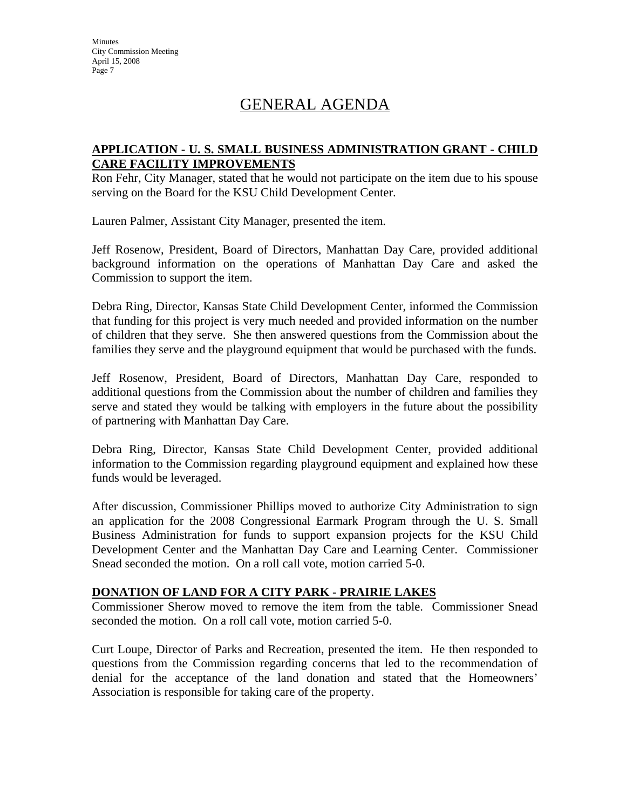# GENERAL AGENDA

### **APPLICATION - U. S. SMALL BUSINESS ADMINISTRATION GRANT - CHILD CARE FACILITY IMPROVEMENTS**

Ron Fehr, City Manager, stated that he would not participate on the item due to his spouse serving on the Board for the KSU Child Development Center.

Lauren Palmer, Assistant City Manager, presented the item.

Jeff Rosenow, President, Board of Directors, Manhattan Day Care, provided additional background information on the operations of Manhattan Day Care and asked the Commission to support the item.

Debra Ring, Director, Kansas State Child Development Center, informed the Commission that funding for this project is very much needed and provided information on the number of children that they serve. She then answered questions from the Commission about the families they serve and the playground equipment that would be purchased with the funds.

Jeff Rosenow, President, Board of Directors, Manhattan Day Care, responded to additional questions from the Commission about the number of children and families they serve and stated they would be talking with employers in the future about the possibility of partnering with Manhattan Day Care.

Debra Ring, Director, Kansas State Child Development Center, provided additional information to the Commission regarding playground equipment and explained how these funds would be leveraged.

After discussion, Commissioner Phillips moved to authorize City Administration to sign an application for the 2008 Congressional Earmark Program through the U. S. Small Business Administration for funds to support expansion projects for the KSU Child Development Center and the Manhattan Day Care and Learning Center. Commissioner Snead seconded the motion. On a roll call vote, motion carried 5-0.

### **DONATION OF LAND FOR A CITY PARK - PRAIRIE LAKES**

Commissioner Sherow moved to remove the item from the table. Commissioner Snead seconded the motion. On a roll call vote, motion carried 5-0.

Curt Loupe, Director of Parks and Recreation, presented the item. He then responded to questions from the Commission regarding concerns that led to the recommendation of denial for the acceptance of the land donation and stated that the Homeowners' Association is responsible for taking care of the property.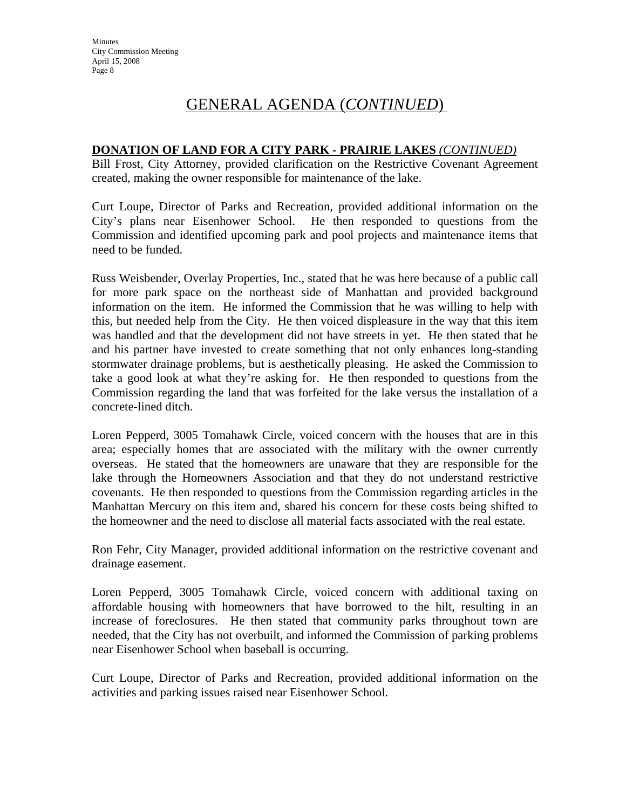# GENERAL AGENDA (*CONTINUED*)

### **DONATION OF LAND FOR A CITY PARK - PRAIRIE LAKES** *(CONTINUED)*

Bill Frost, City Attorney, provided clarification on the Restrictive Covenant Agreement created, making the owner responsible for maintenance of the lake.

Curt Loupe, Director of Parks and Recreation, provided additional information on the City's plans near Eisenhower School. He then responded to questions from the Commission and identified upcoming park and pool projects and maintenance items that need to be funded.

Russ Weisbender, Overlay Properties, Inc., stated that he was here because of a public call for more park space on the northeast side of Manhattan and provided background information on the item. He informed the Commission that he was willing to help with this, but needed help from the City. He then voiced displeasure in the way that this item was handled and that the development did not have streets in yet. He then stated that he and his partner have invested to create something that not only enhances long-standing stormwater drainage problems, but is aesthetically pleasing. He asked the Commission to take a good look at what they're asking for. He then responded to questions from the Commission regarding the land that was forfeited for the lake versus the installation of a concrete-lined ditch.

Loren Pepperd, 3005 Tomahawk Circle, voiced concern with the houses that are in this area; especially homes that are associated with the military with the owner currently overseas. He stated that the homeowners are unaware that they are responsible for the lake through the Homeowners Association and that they do not understand restrictive covenants. He then responded to questions from the Commission regarding articles in the Manhattan Mercury on this item and, shared his concern for these costs being shifted to the homeowner and the need to disclose all material facts associated with the real estate.

Ron Fehr, City Manager, provided additional information on the restrictive covenant and drainage easement.

Loren Pepperd, 3005 Tomahawk Circle, voiced concern with additional taxing on affordable housing with homeowners that have borrowed to the hilt, resulting in an increase of foreclosures. He then stated that community parks throughout town are needed, that the City has not overbuilt, and informed the Commission of parking problems near Eisenhower School when baseball is occurring.

Curt Loupe, Director of Parks and Recreation, provided additional information on the activities and parking issues raised near Eisenhower School.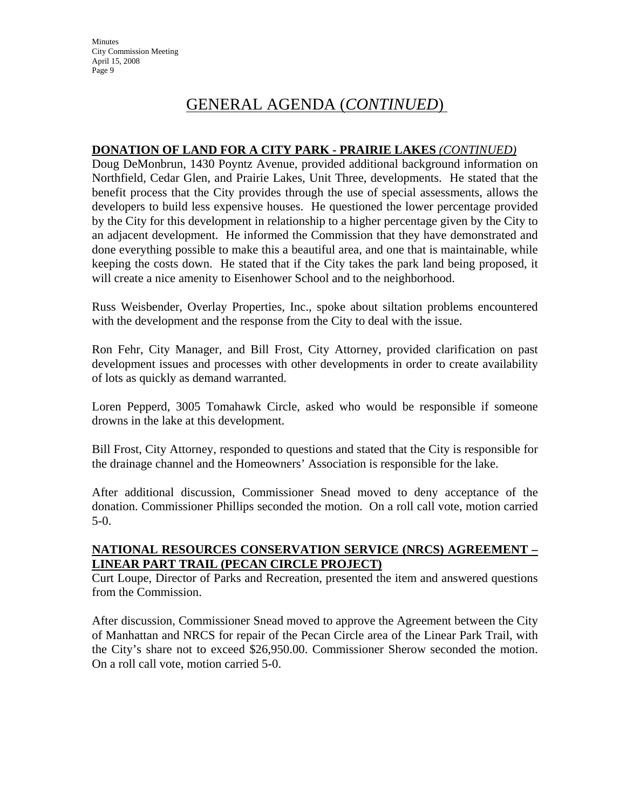## GENERAL AGENDA (*CONTINUED*)

#### **DONATION OF LAND FOR A CITY PARK - PRAIRIE LAKES** *(CONTINUED)*

Doug DeMonbrun, 1430 Poyntz Avenue, provided additional background information on Northfield, Cedar Glen, and Prairie Lakes, Unit Three, developments. He stated that the benefit process that the City provides through the use of special assessments, allows the developers to build less expensive houses. He questioned the lower percentage provided by the City for this development in relationship to a higher percentage given by the City to an adjacent development. He informed the Commission that they have demonstrated and done everything possible to make this a beautiful area, and one that is maintainable, while keeping the costs down. He stated that if the City takes the park land being proposed, it will create a nice amenity to Eisenhower School and to the neighborhood.

Russ Weisbender, Overlay Properties, Inc., spoke about siltation problems encountered with the development and the response from the City to deal with the issue.

Ron Fehr, City Manager, and Bill Frost, City Attorney, provided clarification on past development issues and processes with other developments in order to create availability of lots as quickly as demand warranted.

Loren Pepperd, 3005 Tomahawk Circle, asked who would be responsible if someone drowns in the lake at this development.

Bill Frost, City Attorney, responded to questions and stated that the City is responsible for the drainage channel and the Homeowners' Association is responsible for the lake.

After additional discussion, Commissioner Snead moved to deny acceptance of the donation. Commissioner Phillips seconded the motion. On a roll call vote, motion carried 5-0.

### **NATIONAL RESOURCES CONSERVATION SERVICE (NRCS) AGREEMENT – LINEAR PART TRAIL (PECAN CIRCLE PROJECT)**

Curt Loupe, Director of Parks and Recreation, presented the item and answered questions from the Commission.

After discussion, Commissioner Snead moved to approve the Agreement between the City of Manhattan and NRCS for repair of the Pecan Circle area of the Linear Park Trail, with the City's share not to exceed \$26,950.00. Commissioner Sherow seconded the motion. On a roll call vote, motion carried 5-0.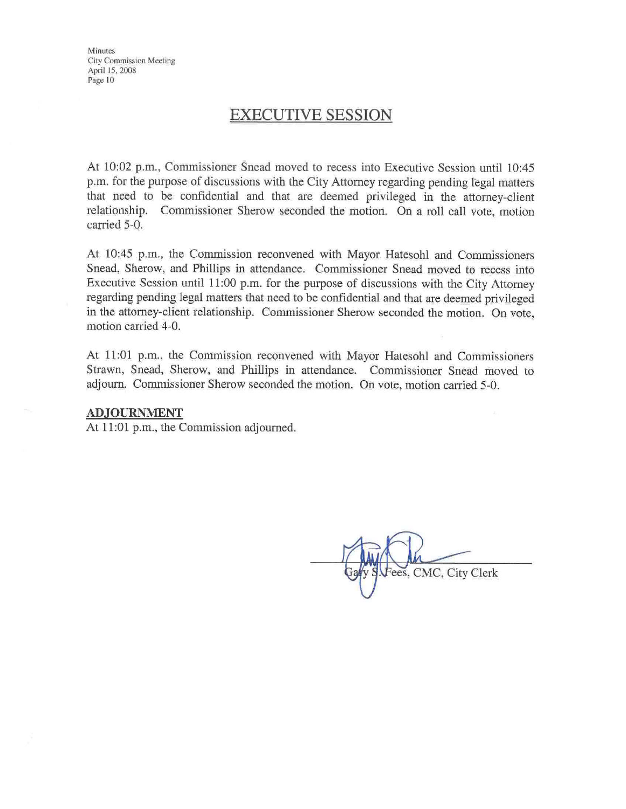## **EXECUTIVE SESSION**

At 10:02 p.m., Commissioner Snead moved to recess into Executive Session until 10:45 p.m. for the purpose of discussions with the City Attorney regarding pending legal matters that need to be confidential and that are deemed privileged in the attorney-client relationship. Commissioner Sherow seconded the motion. On a roll call vote, motion carried 5-0.

At 10:45 p.m., the Commission reconvened with Mayor Hatesohl and Commissioners Snead, Sherow, and Phillips in attendance. Commissioner Snead moved to recess into Executive Session until 11:00 p.m. for the purpose of discussions with the City Attorney regarding pending legal matters that need to be confidential and that are deemed privileged in the attorney-client relationship. Commissioner Sherow seconded the motion. On vote, motion carried 4-0.

At 11:01 p.m., the Commission reconvened with Mayor Hatesohl and Commissioners Strawn, Snead, Sherow, and Phillips in attendance. Commissioner Snead moved to adjourn. Commissioner Sherow seconded the motion. On vote, motion carried 5-0.

#### **ADJOURNMENT**

At 11:01 p.m., the Commission adjourned.

ees, CMC, City Clerk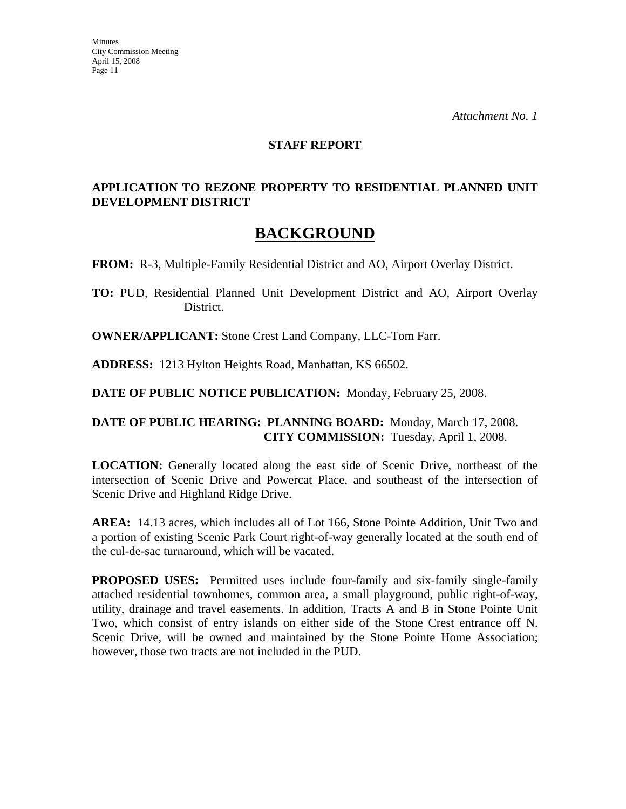#### **STAFF REPORT**

### **APPLICATION TO REZONE PROPERTY TO RESIDENTIAL PLANNED UNIT DEVELOPMENT DISTRICT**

## **BACKGROUND**

**FROM:** R-3, Multiple-Family Residential District and AO, Airport Overlay District.

**TO:** PUD, Residential Planned Unit Development District and AO, Airport Overlay District.

**OWNER/APPLICANT:** Stone Crest Land Company, LLC-Tom Farr.

**ADDRESS:** 1213 Hylton Heights Road, Manhattan, KS 66502.

**DATE OF PUBLIC NOTICE PUBLICATION:** Monday, February 25, 2008.

#### **DATE OF PUBLIC HEARING: PLANNING BOARD:** Monday, March 17, 2008. **CITY COMMISSION:** Tuesday, April 1, 2008.

**LOCATION:** Generally located along the east side of Scenic Drive, northeast of the intersection of Scenic Drive and Powercat Place, and southeast of the intersection of Scenic Drive and Highland Ridge Drive.

**AREA:** 14.13 acres, which includes all of Lot 166, Stone Pointe Addition, Unit Two and a portion of existing Scenic Park Court right-of-way generally located at the south end of the cul-de-sac turnaround, which will be vacated.

**PROPOSED USES:** Permitted uses include four-family and six-family single-family attached residential townhomes, common area, a small playground, public right-of-way, utility, drainage and travel easements. In addition, Tracts A and B in Stone Pointe Unit Two, which consist of entry islands on either side of the Stone Crest entrance off N. Scenic Drive, will be owned and maintained by the Stone Pointe Home Association; however, those two tracts are not included in the PUD.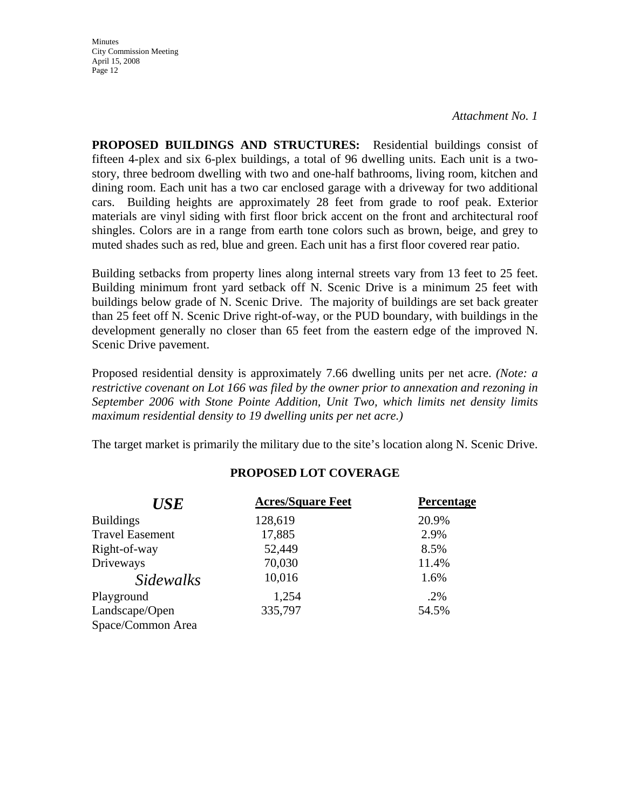*Attachment No. 1*

**PROPOSED BUILDINGS AND STRUCTURES:** Residential buildings consist of fifteen 4-plex and six 6-plex buildings, a total of 96 dwelling units. Each unit is a twostory, three bedroom dwelling with two and one-half bathrooms, living room, kitchen and dining room. Each unit has a two car enclosed garage with a driveway for two additional cars. Building heights are approximately 28 feet from grade to roof peak. Exterior materials are vinyl siding with first floor brick accent on the front and architectural roof shingles. Colors are in a range from earth tone colors such as brown, beige, and grey to muted shades such as red, blue and green. Each unit has a first floor covered rear patio.

Building setbacks from property lines along internal streets vary from 13 feet to 25 feet. Building minimum front yard setback off N. Scenic Drive is a minimum 25 feet with buildings below grade of N. Scenic Drive. The majority of buildings are set back greater than 25 feet off N. Scenic Drive right-of-way, or the PUD boundary, with buildings in the development generally no closer than 65 feet from the eastern edge of the improved N. Scenic Drive pavement.

Proposed residential density is approximately 7.66 dwelling units per net acre. *(Note: a restrictive covenant on Lot 166 was filed by the owner prior to annexation and rezoning in September 2006 with Stone Pointe Addition, Unit Two, which limits net density limits maximum residential density to 19 dwelling units per net acre.)*

The target market is primarily the military due to the site's location along N. Scenic Drive.

| <b>USE</b>             | <b>Acres/Square Feet</b> | Percentage |
|------------------------|--------------------------|------------|
| <b>Buildings</b>       | 128,619                  | 20.9%      |
| <b>Travel Easement</b> | 17,885                   | 2.9%       |
| Right-of-way           | 52,449                   | 8.5%       |
| Driveways              | 70,030                   | 11.4%      |
| <i>Sidewalks</i>       | 10,016                   | 1.6%       |
| Playground             | 1,254                    | .2%        |
| Landscape/Open         | 335,797                  | 54.5%      |
| Space/Common Area      |                          |            |

## **PROPOSED LOT COVERAGE**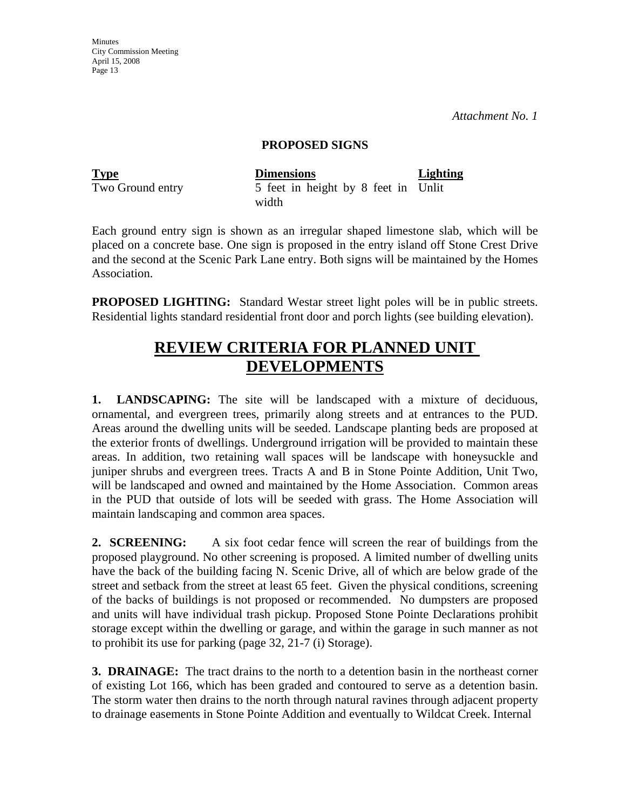*Attachment No. 1*

#### **PROPOSED SIGNS**

| <b>Type</b>      | <b>Dimensions</b>                   | <b>Lighting</b> |
|------------------|-------------------------------------|-----------------|
| Two Ground entry | 5 feet in height by 8 feet in Unlit |                 |
|                  | width                               |                 |

Each ground entry sign is shown as an irregular shaped limestone slab, which will be placed on a concrete base. One sign is proposed in the entry island off Stone Crest Drive and the second at the Scenic Park Lane entry. Both signs will be maintained by the Homes Association.

**PROPOSED LIGHTING:** Standard Westar street light poles will be in public streets. Residential lights standard residential front door and porch lights (see building elevation).

# **REVIEW CRITERIA FOR PLANNED UNIT DEVELOPMENTS**

**1. LANDSCAPING:** The site will be landscaped with a mixture of deciduous, ornamental, and evergreen trees, primarily along streets and at entrances to the PUD. Areas around the dwelling units will be seeded. Landscape planting beds are proposed at the exterior fronts of dwellings. Underground irrigation will be provided to maintain these areas. In addition, two retaining wall spaces will be landscape with honeysuckle and juniper shrubs and evergreen trees. Tracts A and B in Stone Pointe Addition, Unit Two, will be landscaped and owned and maintained by the Home Association. Common areas in the PUD that outside of lots will be seeded with grass. The Home Association will maintain landscaping and common area spaces.

**2. SCREENING:** A six foot cedar fence will screen the rear of buildings from the proposed playground. No other screening is proposed. A limited number of dwelling units have the back of the building facing N. Scenic Drive, all of which are below grade of the street and setback from the street at least 65 feet. Given the physical conditions, screening of the backs of buildings is not proposed or recommended. No dumpsters are proposed and units will have individual trash pickup. Proposed Stone Pointe Declarations prohibit storage except within the dwelling or garage, and within the garage in such manner as not to prohibit its use for parking (page 32, 21-7 (i) Storage).

**3. DRAINAGE:** The tract drains to the north to a detention basin in the northeast corner of existing Lot 166, which has been graded and contoured to serve as a detention basin. The storm water then drains to the north through natural ravines through adjacent property to drainage easements in Stone Pointe Addition and eventually to Wildcat Creek. Internal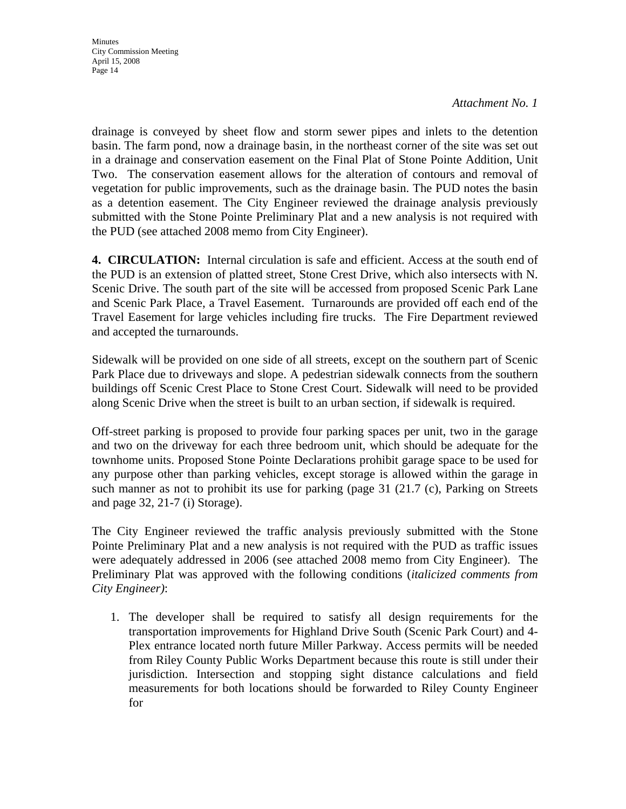*Attachment No. 1*

drainage is conveyed by sheet flow and storm sewer pipes and inlets to the detention basin. The farm pond, now a drainage basin, in the northeast corner of the site was set out in a drainage and conservation easement on the Final Plat of Stone Pointe Addition, Unit Two. The conservation easement allows for the alteration of contours and removal of vegetation for public improvements, such as the drainage basin. The PUD notes the basin as a detention easement. The City Engineer reviewed the drainage analysis previously submitted with the Stone Pointe Preliminary Plat and a new analysis is not required with the PUD (see attached 2008 memo from City Engineer).

**4. CIRCULATION:** Internal circulation is safe and efficient. Access at the south end of the PUD is an extension of platted street, Stone Crest Drive, which also intersects with N. Scenic Drive. The south part of the site will be accessed from proposed Scenic Park Lane and Scenic Park Place, a Travel Easement. Turnarounds are provided off each end of the Travel Easement for large vehicles including fire trucks. The Fire Department reviewed and accepted the turnarounds.

Sidewalk will be provided on one side of all streets, except on the southern part of Scenic Park Place due to driveways and slope. A pedestrian sidewalk connects from the southern buildings off Scenic Crest Place to Stone Crest Court. Sidewalk will need to be provided along Scenic Drive when the street is built to an urban section, if sidewalk is required.

Off-street parking is proposed to provide four parking spaces per unit, two in the garage and two on the driveway for each three bedroom unit, which should be adequate for the townhome units. Proposed Stone Pointe Declarations prohibit garage space to be used for any purpose other than parking vehicles, except storage is allowed within the garage in such manner as not to prohibit its use for parking (page 31 (21.7 (c), Parking on Streets and page 32, 21-7 (i) Storage).

The City Engineer reviewed the traffic analysis previously submitted with the Stone Pointe Preliminary Plat and a new analysis is not required with the PUD as traffic issues were adequately addressed in 2006 (see attached 2008 memo from City Engineer). The Preliminary Plat was approved with the following conditions (*italicized comments from City Engineer)*:

1. The developer shall be required to satisfy all design requirements for the transportation improvements for Highland Drive South (Scenic Park Court) and 4- Plex entrance located north future Miller Parkway. Access permits will be needed from Riley County Public Works Department because this route is still under their jurisdiction. Intersection and stopping sight distance calculations and field measurements for both locations should be forwarded to Riley County Engineer for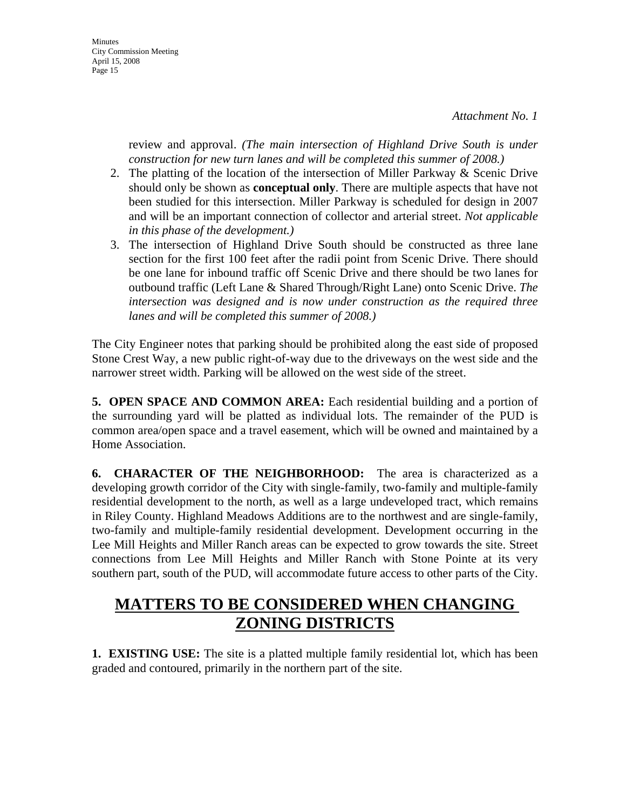Minutes City Commission Meeting April 15, 2008 Page 15

> review and approval. *(The main intersection of Highland Drive South is under construction for new turn lanes and will be completed this summer of 2008.)*

- 2. The platting of the location of the intersection of Miller Parkway & Scenic Drive should only be shown as **conceptual only**. There are multiple aspects that have not been studied for this intersection. Miller Parkway is scheduled for design in 2007 and will be an important connection of collector and arterial street. *Not applicable in this phase of the development.)*
- 3. The intersection of Highland Drive South should be constructed as three lane section for the first 100 feet after the radii point from Scenic Drive. There should be one lane for inbound traffic off Scenic Drive and there should be two lanes for outbound traffic (Left Lane & Shared Through/Right Lane) onto Scenic Drive. *The intersection was designed and is now under construction as the required three lanes and will be completed this summer of 2008.)*

The City Engineer notes that parking should be prohibited along the east side of proposed Stone Crest Way, a new public right-of-way due to the driveways on the west side and the narrower street width. Parking will be allowed on the west side of the street.

**5. OPEN SPACE AND COMMON AREA:** Each residential building and a portion of the surrounding yard will be platted as individual lots. The remainder of the PUD is common area/open space and a travel easement, which will be owned and maintained by a Home Association.

**6. CHARACTER OF THE NEIGHBORHOOD:** The area is characterized as a developing growth corridor of the City with single-family, two-family and multiple-family residential development to the north, as well as a large undeveloped tract, which remains in Riley County. Highland Meadows Additions are to the northwest and are single-family, two-family and multiple-family residential development. Development occurring in the Lee Mill Heights and Miller Ranch areas can be expected to grow towards the site. Street connections from Lee Mill Heights and Miller Ranch with Stone Pointe at its very southern part, south of the PUD, will accommodate future access to other parts of the City.

# **MATTERS TO BE CONSIDERED WHEN CHANGING ZONING DISTRICTS**

**1. EXISTING USE:** The site is a platted multiple family residential lot, which has been graded and contoured, primarily in the northern part of the site.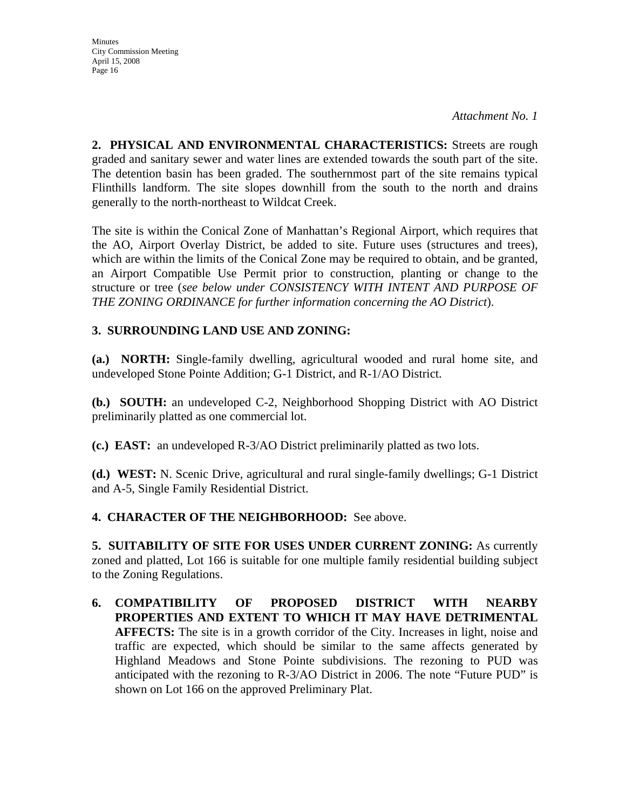*Attachment No. 1*

**2. PHYSICAL AND ENVIRONMENTAL CHARACTERISTICS:** Streets are rough graded and sanitary sewer and water lines are extended towards the south part of the site. The detention basin has been graded. The southernmost part of the site remains typical Flinthills landform. The site slopes downhill from the south to the north and drains generally to the north-northeast to Wildcat Creek.

The site is within the Conical Zone of Manhattan's Regional Airport, which requires that the AO, Airport Overlay District, be added to site. Future uses (structures and trees), which are within the limits of the Conical Zone may be required to obtain, and be granted, an Airport Compatible Use Permit prior to construction, planting or change to the structure or tree (*see below under CONSISTENCY WITH INTENT AND PURPOSE OF THE ZONING ORDINANCE for further information concerning the AO District*).

## **3. SURROUNDING LAND USE AND ZONING:**

**(a.) NORTH:** Single-family dwelling, agricultural wooded and rural home site, and undeveloped Stone Pointe Addition; G-1 District, and R-1/AO District.

**(b.) SOUTH:** an undeveloped C-2, Neighborhood Shopping District with AO District preliminarily platted as one commercial lot.

**(c.) EAST:** an undeveloped R-3/AO District preliminarily platted as two lots.

**(d.) WEST:** N. Scenic Drive, agricultural and rural single-family dwellings; G-1 District and A-5, Single Family Residential District.

### **4. CHARACTER OF THE NEIGHBORHOOD:** See above.

**5. SUITABILITY OF SITE FOR USES UNDER CURRENT ZONING:** As currently zoned and platted, Lot 166 is suitable for one multiple family residential building subject to the Zoning Regulations.

**6. COMPATIBILITY OF PROPOSED DISTRICT WITH NEARBY PROPERTIES AND EXTENT TO WHICH IT MAY HAVE DETRIMENTAL AFFECTS:** The site is in a growth corridor of the City. Increases in light, noise and traffic are expected, which should be similar to the same affects generated by Highland Meadows and Stone Pointe subdivisions. The rezoning to PUD was anticipated with the rezoning to R-3/AO District in 2006. The note "Future PUD" is shown on Lot 166 on the approved Preliminary Plat.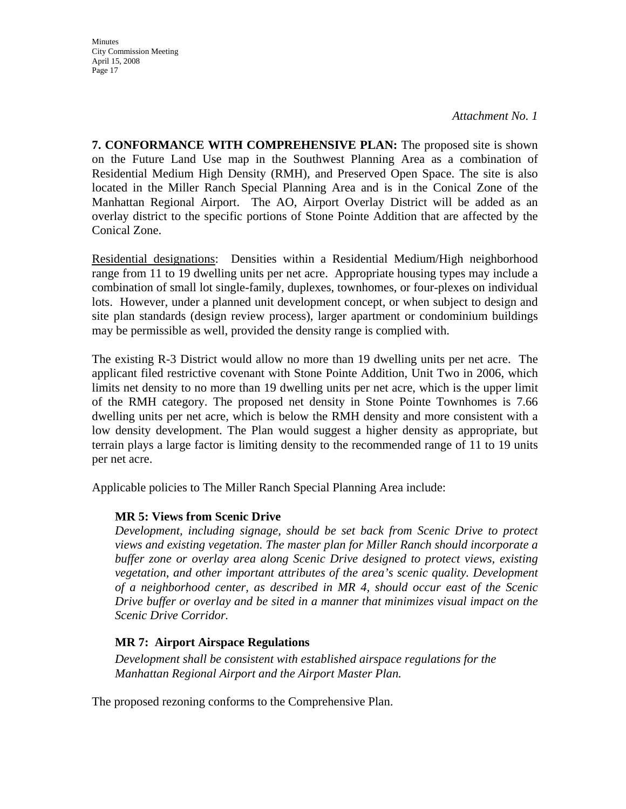*Attachment No. 1*

**7. CONFORMANCE WITH COMPREHENSIVE PLAN:** The proposed site is shown on the Future Land Use map in the Southwest Planning Area as a combination of Residential Medium High Density (RMH), and Preserved Open Space. The site is also located in the Miller Ranch Special Planning Area and is in the Conical Zone of the Manhattan Regional Airport. The AO, Airport Overlay District will be added as an overlay district to the specific portions of Stone Pointe Addition that are affected by the Conical Zone.

Residential designations: Densities within a Residential Medium/High neighborhood range from 11 to 19 dwelling units per net acre. Appropriate housing types may include a combination of small lot single-family, duplexes, townhomes, or four-plexes on individual lots. However, under a planned unit development concept, or when subject to design and site plan standards (design review process), larger apartment or condominium buildings may be permissible as well, provided the density range is complied with.

The existing R-3 District would allow no more than 19 dwelling units per net acre. The applicant filed restrictive covenant with Stone Pointe Addition, Unit Two in 2006, which limits net density to no more than 19 dwelling units per net acre, which is the upper limit of the RMH category. The proposed net density in Stone Pointe Townhomes is 7.66 dwelling units per net acre, which is below the RMH density and more consistent with a low density development. The Plan would suggest a higher density as appropriate, but terrain plays a large factor is limiting density to the recommended range of 11 to 19 units per net acre.

Applicable policies to The Miller Ranch Special Planning Area include:

### **MR 5: Views from Scenic Drive**

*Development, including signage, should be set back from Scenic Drive to protect views and existing vegetation. The master plan for Miller Ranch should incorporate a buffer zone or overlay area along Scenic Drive designed to protect views, existing vegetation, and other important attributes of the area's scenic quality. Development of a neighborhood center, as described in MR 4, should occur east of the Scenic Drive buffer or overlay and be sited in a manner that minimizes visual impact on the Scenic Drive Corridor.*

### **MR 7: Airport Airspace Regulations**

*Development shall be consistent with established airspace regulations for the Manhattan Regional Airport and the Airport Master Plan.* 

The proposed rezoning conforms to the Comprehensive Plan.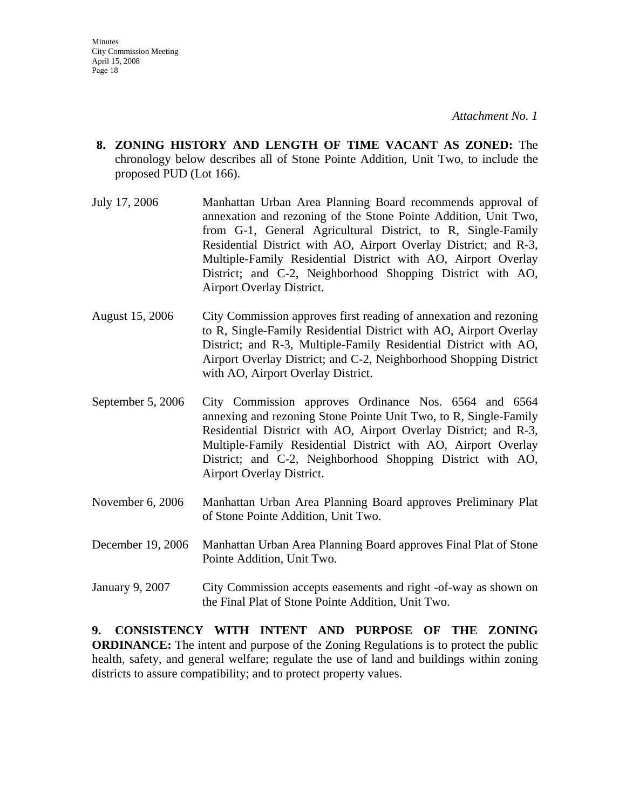- **8. ZONING HISTORY AND LENGTH OF TIME VACANT AS ZONED:** The chronology below describes all of Stone Pointe Addition, Unit Two, to include the proposed PUD (Lot 166).
- July 17, 2006 Manhattan Urban Area Planning Board recommends approval of annexation and rezoning of the Stone Pointe Addition, Unit Two, from G-1, General Agricultural District, to R, Single-Family Residential District with AO, Airport Overlay District; and R-3, Multiple-Family Residential District with AO, Airport Overlay District; and C-2, Neighborhood Shopping District with AO, Airport Overlay District.
- August 15, 2006 City Commission approves first reading of annexation and rezoning to R, Single-Family Residential District with AO, Airport Overlay District; and R-3, Multiple-Family Residential District with AO, Airport Overlay District; and C-2, Neighborhood Shopping District with AO, Airport Overlay District.
- September 5, 2006 City Commission approves Ordinance Nos. 6564 and 6564 annexing and rezoning Stone Pointe Unit Two, to R, Single-Family Residential District with AO, Airport Overlay District; and R-3, Multiple-Family Residential District with AO, Airport Overlay District; and C-2, Neighborhood Shopping District with AO, Airport Overlay District.
- November 6, 2006 Manhattan Urban Area Planning Board approves Preliminary Plat of Stone Pointe Addition, Unit Two.
- December 19, 2006 Manhattan Urban Area Planning Board approves Final Plat of Stone Pointe Addition, Unit Two.
- January 9, 2007 City Commission accepts easements and right -of-way as shown on the Final Plat of Stone Pointe Addition, Unit Two.

**9. CONSISTENCY WITH INTENT AND PURPOSE OF THE ZONING ORDINANCE:** The intent and purpose of the Zoning Regulations is to protect the public health, safety, and general welfare; regulate the use of land and buildings within zoning districts to assure compatibility; and to protect property values.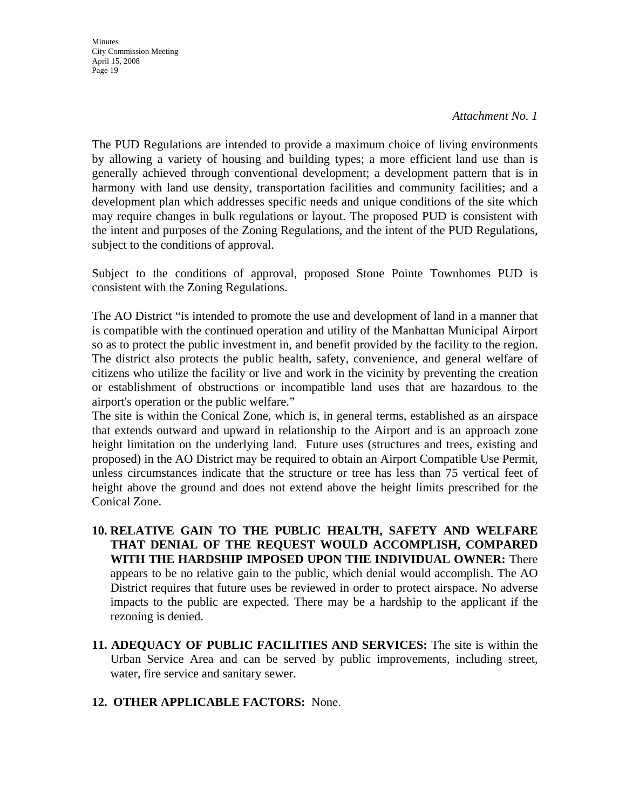**Minutes** City Commission Meeting April 15, 2008 Page 19

The PUD Regulations are intended to provide a maximum choice of living environments by allowing a variety of housing and building types; a more efficient land use than is generally achieved through conventional development; a development pattern that is in harmony with land use density, transportation facilities and community facilities; and a development plan which addresses specific needs and unique conditions of the site which may require changes in bulk regulations or layout. The proposed PUD is consistent with the intent and purposes of the Zoning Regulations, and the intent of the PUD Regulations, subject to the conditions of approval.

Subject to the conditions of approval, proposed Stone Pointe Townhomes PUD is consistent with the Zoning Regulations.

The AO District "is intended to promote the use and development of land in a manner that is compatible with the continued operation and utility of the Manhattan Municipal Airport so as to protect the public investment in, and benefit provided by the facility to the region. The district also protects the public health, safety, convenience, and general welfare of citizens who utilize the facility or live and work in the vicinity by preventing the creation or establishment of obstructions or incompatible land uses that are hazardous to the airport's operation or the public welfare."

The site is within the Conical Zone, which is, in general terms, established as an airspace that extends outward and upward in relationship to the Airport and is an approach zone height limitation on the underlying land. Future uses (structures and trees, existing and proposed) in the AO District may be required to obtain an Airport Compatible Use Permit, unless circumstances indicate that the structure or tree has less than 75 vertical feet of height above the ground and does not extend above the height limits prescribed for the Conical Zone.

- **10. RELATIVE GAIN TO THE PUBLIC HEALTH, SAFETY AND WELFARE THAT DENIAL OF THE REQUEST WOULD ACCOMPLISH, COMPARED WITH THE HARDSHIP IMPOSED UPON THE INDIVIDUAL OWNER:** There appears to be no relative gain to the public, which denial would accomplish. The AO District requires that future uses be reviewed in order to protect airspace. No adverse impacts to the public are expected. There may be a hardship to the applicant if the rezoning is denied.
- **11. ADEQUACY OF PUBLIC FACILITIES AND SERVICES:** The site is within the Urban Service Area and can be served by public improvements, including street, water, fire service and sanitary sewer.
- **12. OTHER APPLICABLE FACTORS:** None.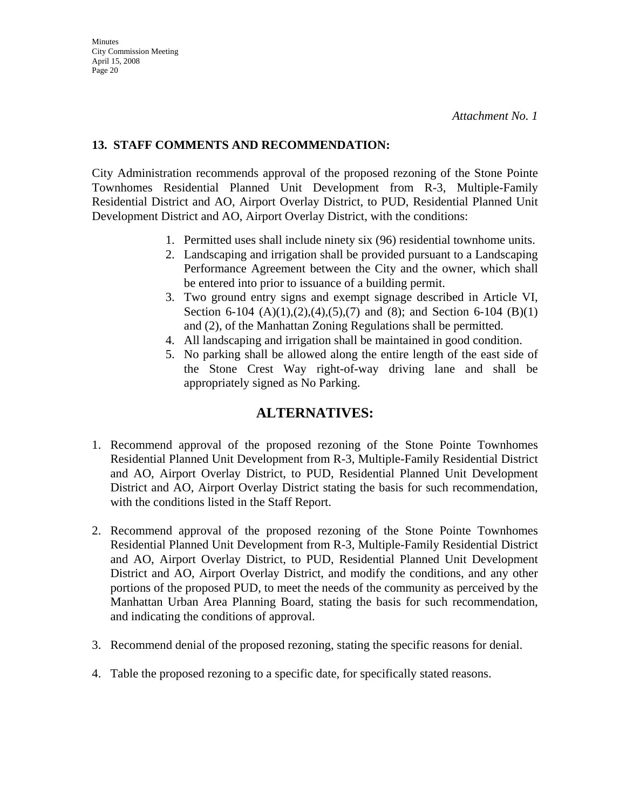## **13. STAFF COMMENTS AND RECOMMENDATION:**

City Administration recommends approval of the proposed rezoning of the Stone Pointe Townhomes Residential Planned Unit Development from R-3, Multiple-Family Residential District and AO, Airport Overlay District, to PUD, Residential Planned Unit Development District and AO, Airport Overlay District, with the conditions:

- 1. Permitted uses shall include ninety six (96) residential townhome units.
- 2. Landscaping and irrigation shall be provided pursuant to a Landscaping Performance Agreement between the City and the owner, which shall be entered into prior to issuance of a building permit.
- 3. Two ground entry signs and exempt signage described in Article VI, Section 6-104  $(A)(1),(2),(4),(5),(7)$  and  $(8)$ ; and Section 6-104  $(B)(1)$ and (2), of the Manhattan Zoning Regulations shall be permitted.
- 4. All landscaping and irrigation shall be maintained in good condition.
- 5. No parking shall be allowed along the entire length of the east side of the Stone Crest Way right-of-way driving lane and shall be appropriately signed as No Parking.

## **ALTERNATIVES:**

- 1. Recommend approval of the proposed rezoning of the Stone Pointe Townhomes Residential Planned Unit Development from R-3, Multiple-Family Residential District and AO, Airport Overlay District, to PUD, Residential Planned Unit Development District and AO, Airport Overlay District stating the basis for such recommendation, with the conditions listed in the Staff Report.
- 2. Recommend approval of the proposed rezoning of the Stone Pointe Townhomes Residential Planned Unit Development from R-3, Multiple-Family Residential District and AO, Airport Overlay District, to PUD, Residential Planned Unit Development District and AO, Airport Overlay District, and modify the conditions, and any other portions of the proposed PUD, to meet the needs of the community as perceived by the Manhattan Urban Area Planning Board, stating the basis for such recommendation, and indicating the conditions of approval.
- 3. Recommend denial of the proposed rezoning, stating the specific reasons for denial.
- 4. Table the proposed rezoning to a specific date, for specifically stated reasons.